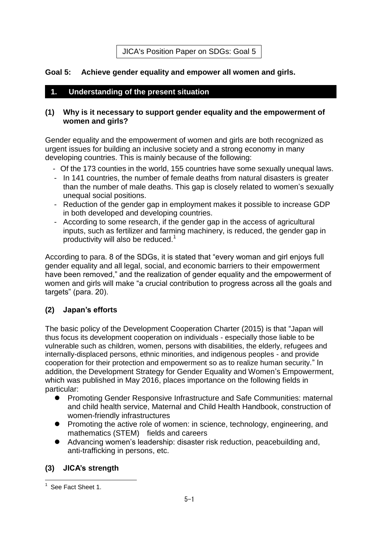JICA's Position Paper on SDGs: Goal 5

### **Goal 5: Achieve gender equality and empower all women and girls.**

### **1. Understanding of the present situation**

#### **(1) Why is it necessary to support gender equality and the empowerment of women and girls?**

Gender equality and the empowerment of women and girls are both recognized as urgent issues for building an inclusive society and a strong economy in many developing countries. This is mainly because of the following:

- Of the 173 counties in the world, 155 countries have some sexually unequal laws.
- In 141 countries, the number of female deaths from natural disasters is greater than the number of male deaths. This gap is closely related to women's sexually unequal social positions.
- Reduction of the gender gap in employment makes it possible to increase GDP in both developed and developing countries.
- According to some research, if the gender gap in the access of agricultural inputs, such as fertilizer and farming machinery, is reduced, the gender gap in productivity will also be reduced.<sup>1</sup>

According to para. 8 of the SDGs, it is stated that "every woman and girl enjoys full gender equality and all legal, social, and economic barriers to their empowerment have been removed," and the realization of gender equality and the empowerment of women and girls will make "a crucial contribution to progress across all the goals and targets" (para. 20).

# **(2) Japan's efforts**

The basic policy of the Development Cooperation Charter (2015) is that "Japan will thus focus its development cooperation on individuals - especially those liable to be vulnerable such as children, women, persons with disabilities, the elderly, refugees and internally-displaced persons, ethnic minorities, and indigenous peoples - and provide cooperation for their protection and empowerment so as to realize human security." In addition, the Development Strategy for Gender Equality and Women's Empowerment, which was published in May 2016, places importance on the following fields in particular:

- Promoting Gender Responsive Infrastructure and Safe Communities: maternal and child health service, Maternal and Child Health Handbook, construction of women-friendly infrastructures
- **•** Promoting the active role of women: in science, technology, engineering, and mathematics (STEM) fields and careers
- Advancing women's leadership: disaster risk reduction, peacebuilding and, anti-trafficking in persons, etc.

# **(3) JICA's strength**

 $\overline{a}$ <sup>1</sup> See Fact Sheet 1.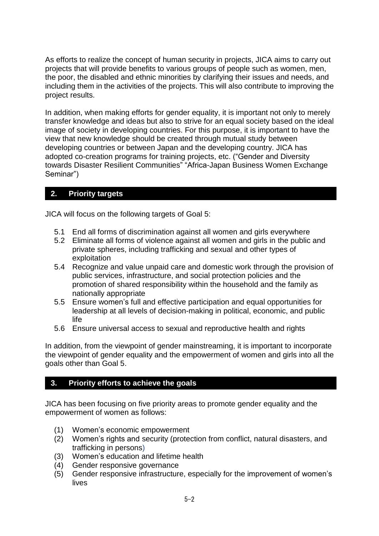As efforts to realize the concept of human security in projects, JICA aims to carry out projects that will provide benefits to various groups of people such as women, men, the poor, the disabled and ethnic minorities by clarifying their issues and needs, and including them in the activities of the projects. This will also contribute to improving the project results.

In addition, when making efforts for gender equality, it is important not only to merely transfer knowledge and ideas but also to strive for an equal society based on the ideal image of society in developing countries. For this purpose, it is important to have the view that new knowledge should be created through mutual study between developing countries or between Japan and the developing country. JICA has adopted co-creation programs for training projects, etc. ("Gender and Diversity towards Disaster Resilient Communities" "Africa-Japan Business Women Exchange Seminar")

# **2. Priority targets**

JICA will focus on the following targets of Goal 5:

- 5.1 End all forms of discrimination against all women and girls everywhere
- 5.2 Eliminate all forms of violence against all women and girls in the public and private spheres, including trafficking and sexual and other types of exploitation
- 5.4 Recognize and value unpaid care and domestic work through the provision of public services, infrastructure, and social protection policies and the promotion of shared responsibility within the household and the family as nationally appropriate
- 5.5 Ensure women's full and effective participation and equal opportunities for leadership at all levels of decision-making in political, economic, and public life
- 5.6 Ensure universal access to sexual and reproductive health and rights

In addition, from the viewpoint of gender mainstreaming, it is important to incorporate the viewpoint of gender equality and the empowerment of women and girls into all the goals other than Goal 5.

# **3. Priority efforts to achieve the goals**

JICA has been focusing on five priority areas to promote gender equality and the empowerment of women as follows:

- (1) Women's economic empowerment
- (2) Women's rights and security (protection from conflict, natural disasters, and trafficking in persons)
- (3) Women's education and lifetime health
- (4) Gender responsive governance
- (5) Gender responsive infrastructure, especially for the improvement of women's lives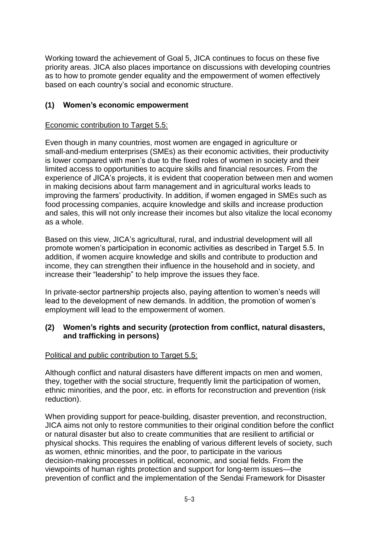Working toward the achievement of Goal 5, JICA continues to focus on these five priority areas. JICA also places importance on discussions with developing countries as to how to promote gender equality and the empowerment of women effectively based on each country's social and economic structure.

### **(1) Women's economic empowerment**

#### Economic contribution to Target 5.5:

Even though in many countries, most women are engaged in agriculture or small-and-medium enterprises (SMEs) as their economic activities, their productivity is lower compared with men's due to the fixed roles of women in society and their limited access to opportunities to acquire skills and financial resources. From the experience of JICA's projects, it is evident that cooperation between men and women in making decisions about farm management and in agricultural works leads to improving the farmers' productivity. In addition, if women engaged in SMEs such as food processing companies, acquire knowledge and skills and increase production and sales, this will not only increase their incomes but also vitalize the local economy as a whole.

Based on this view, JICA's agricultural, rural, and industrial development will all promote women's participation in economic activities as described in Target 5.5. In addition, if women acquire knowledge and skills and contribute to production and income, they can strengthen their influence in the household and in society, and increase their "leadership" to help improve the issues they face.

In private-sector partnership projects also, paying attention to women's needs will lead to the development of new demands. In addition, the promotion of women's employment will lead to the empowerment of women.

#### **(2) Women's rights and security (protection from conflict, natural disasters, and trafficking in persons)**

#### Political and public contribution to Target 5.5:

Although conflict and natural disasters have different impacts on men and women, they, together with the social structure, frequently limit the participation of women, ethnic minorities, and the poor, etc. in efforts for reconstruction and prevention (risk reduction).

When providing support for peace-building, disaster prevention, and reconstruction, JICA aims not only to restore communities to their original condition before the conflict or natural disaster but also to create communities that are resilient to artificial or physical shocks. This requires the enabling of various different levels of society, such as women, ethnic minorities, and the poor, to participate in the various decision-making processes in political, economic, and social fields. From the viewpoints of human rights protection and support for long-term issues—the prevention of conflict and the implementation of the Sendai Framework for Disaster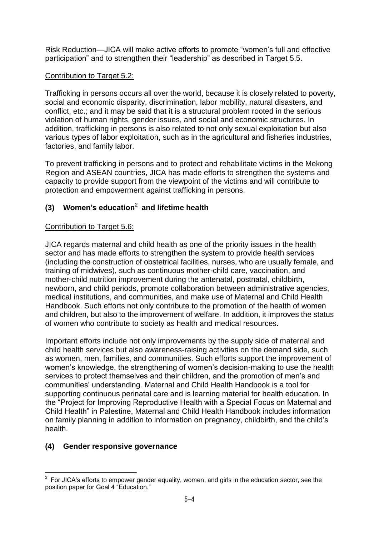Risk Reduction—JICA will make active efforts to promote "women's full and effective participation" and to strengthen their "leadership" as described in Target 5.5.

### Contribution to Target 5.2:

Trafficking in persons occurs all over the world, because it is closely related to poverty, social and economic disparity, discrimination, labor mobility, natural disasters, and conflict, etc.; and it may be said that it is a structural problem rooted in the serious violation of human rights, gender issues, and social and economic structures. In addition, trafficking in persons is also related to not only sexual exploitation but also various types of labor exploitation, such as in the agricultural and fisheries industries, factories, and family labor.

To prevent trafficking in persons and to protect and rehabilitate victims in the Mekong Region and ASEAN countries, JICA has made efforts to strengthen the systems and capacity to provide support from the viewpoint of the victims and will contribute to protection and empowerment against trafficking in persons.

# **(3) Women's education**<sup>2</sup> **and lifetime health**

### Contribution to Target 5.6:

JICA regards maternal and child health as one of the priority issues in the health sector and has made efforts to strengthen the system to provide health services (including the construction of obstetrical facilities, nurses, who are usually female, and training of midwives), such as continuous mother-child care, vaccination, and mother-child nutrition improvement during the antenatal, postnatal, childbirth, newborn, and child periods, promote collaboration between administrative agencies, medical institutions, and communities, and make use of Maternal and Child Health Handbook. Such efforts not only contribute to the promotion of the health of women and children, but also to the improvement of welfare. In addition, it improves the status of women who contribute to society as health and medical resources.

Important efforts include not only improvements by the supply side of maternal and child health services but also awareness-raising activities on the demand side, such as women, men, families, and communities. Such efforts support the improvement of women's knowledge, the strengthening of women's decision-making to use the health services to protect themselves and their children, and the promotion of men's and communities' understanding. Maternal and Child Health Handbook is a tool for supporting continuous perinatal care and is learning material for health education. In the "Project for Improving Reproductive Health with a Special Focus on Maternal and Child Health" in Palestine, Maternal and Child Health Handbook includes information on family planning in addition to information on pregnancy, childbirth, and the child's health.

### **(4) Gender responsive governance**

<sup>————————————————————&</sup>lt;br><sup>2</sup> For JICA's efforts to empower gender equality, women, and girls in the education sector, see the position paper for Goal 4 "Education."